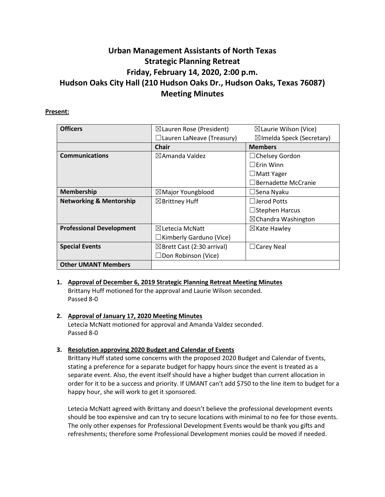# **Urban Management Assistants of North Texas Strategic Planning Retreat Friday, February 14, 2020, 2:00 p.m. Hudson Oaks City Hall (210 Hudson Oaks Dr., Hudson Oaks, Texas 76087) Meeting Minutes**

## **Present:**

| <b>Officers</b>                    | $\boxtimes$ Lauren Rose (President)   | $\boxtimes$ Laurie Wilson (Vice)     |
|------------------------------------|---------------------------------------|--------------------------------------|
|                                    | $\Box$ Lauren LaNeave (Treasury)      | $\boxtimes$ Imelda Speck (Secretary) |
|                                    | <b>Chair</b>                          | <b>Members</b>                       |
| <b>Communications</b>              | $\boxtimes$ Amanda Valdez             | $\Box$ Chelsey Gordon                |
|                                    |                                       | $\Box$ Erin Winn                     |
|                                    |                                       | $\square$ Matt Yager                 |
|                                    |                                       | Bernadette McCranie                  |
| Membership                         | $\boxtimes$ Major Youngblood          | □Sena Nyaku                          |
| <b>Networking &amp; Mentorship</b> | $\boxtimes$ Brittney Huff             | $\Box$ Jerod Potts                   |
|                                    |                                       | $\Box$ Stephen Harcus                |
|                                    |                                       | $\boxtimes$ Chandra Washington       |
| <b>Professional Development</b>    | $\boxtimes$ Letecia McNatt            | $\boxtimes$ Kate Hawley              |
|                                    | $\Box$ Kimberly Garduno (Vice)        |                                      |
| <b>Special Events</b>              | $\boxtimes$ Brett Cast (2:30 arrival) | $\Box$ Carey Neal                    |
|                                    | $\Box$ Don Robinson (Vice)            |                                      |
| <b>Other UMANT Members</b>         |                                       |                                      |

## **1. Approval of December 6, 2019 Strategic Planning Retreat Meeting Minutes**

Brittany Huff motioned for the approval and Laurie Wilson seconded. Passed 8-0

# **2. Approval of January 17, 2020 Meeting Minutes**

Letecia McNatt motioned for approval and Amanda Valdez seconded. Passed 8-0

## **3. Resolution approving 2020 Budget and Calendar of Events**

Brittany Huff stated some concerns with the proposed 2020 Budget and Calendar of Events, stating a preference for a separate budget for happy hours since the event is treated as a separate event. Also, the event itself should have a higher budget than current allocation in order for it to be a success and priority. If UMANT can't add \$750 to the line item to budget for a happy hour, she will work to get it sponsored.

Letecia McNatt agreed with Brittany and doesn't believe the professional development events should be too expensive and can try to secure locations with minimal to no fee for those events. The only other expenses for Professional Development Events would be thank you gifts and refreshments; therefore some Professional Development monies could be moved if needed.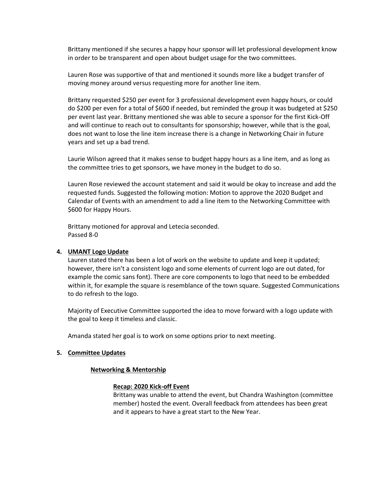Brittany mentioned if she secures a happy hour sponsor will let professional development know in order to be transparent and open about budget usage for the two committees.

Lauren Rose was supportive of that and mentioned it sounds more like a budget transfer of moving money around versus requesting more for another line item.

Brittany requested \$250 per event for 3 professional development even happy hours, or could do \$200 per even for a total of \$600 if needed, but reminded the group it was budgeted at \$250 per event last year. Brittany mentioned she was able to secure a sponsor for the first Kick-Off and will continue to reach out to consultants for sponsorship; however, while that is the goal, does not want to lose the line item increase there is a change in Networking Chair in future years and set up a bad trend.

Laurie Wilson agreed that it makes sense to budget happy hours as a line item, and as long as the committee tries to get sponsors, we have money in the budget to do so.

Lauren Rose reviewed the account statement and said it would be okay to increase and add the requested funds. Suggested the following motion: Motion to approve the 2020 Budget and Calendar of Events with an amendment to add a line item to the Networking Committee with \$600 for Happy Hours.

Brittany motioned for approval and Letecia seconded. Passed 8-0

## **4. UMANT Logo Update**

Lauren stated there has been a lot of work on the website to update and keep it updated; however, there isn't a consistent logo and some elements of current logo are out dated, for example the comic sans font). There are core components to logo that need to be embedded within it, for example the square is resemblance of the town square. Suggested Communications to do refresh to the logo.

Majority of Executive Committee supported the idea to move forward with a logo update with the goal to keep it timeless and classic.

Amanda stated her goal is to work on some options prior to next meeting.

#### **5. Committee Updates**

## **Networking & Mentorship**

## **Recap: 2020 Kick-off Event**

Brittany was unable to attend the event, but Chandra Washington (committee member) hosted the event. Overall feedback from attendees has been great and it appears to have a great start to the New Year.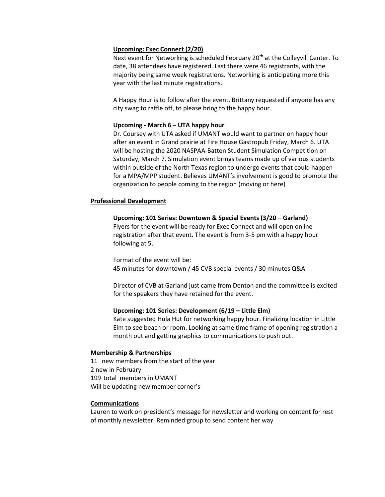## **Upcoming: Exec Connect (2/20)**

Next event for Networking is scheduled February 20<sup>th</sup> at the Colleyvill Center. To date, 38 attendees have registered. Last there were 46 registrants, with the majority being same week registrations. Networking is anticipating more this year with the last minute registrations.

A Happy Hour is to follow after the event. Brittany requested if anyone has any city swag to raffle off, to please bring to the happy hour.

## **Upcoming - March 6 – UTA happy hour**

Dr. Coursey with UTA asked if UMANT would want to partner on happy hour after an event in Grand prairie at Fire House Gastropub Friday, March 6. UTA will be hosting the 2020 NASPAA-Batten Student Simulation Competition on Saturday, March 7. Simulation event brings teams made up of various students within outside of the North Texas region to undergo events that could happen for a MPA/MPP student. Believes UMANT's involvement is good to promote the organization to people coming to the region (moving or here)

## **Professional Development**

## **Upcoming: 101 Series: Downtown & Special Events (3/20 – Garland)**

Flyers for the event will be ready for Exec Connect and will open online registration after that event. The event is from 3-5 pm with a happy hour following at 5.

Format of the event will be: 45 minutes for downtown / 45 CVB special events / 30 minutes Q&A

Director of CVB at Garland just came from Denton and the committee is excited for the speakers they have retained for the event.

## **Upcoming: 101 Series: Development (6/19 – Little Elm)**

Kate suggested Hula Hut for networking happy hour. Finalizing location in Little Elm to see beach or room. Looking at same time frame of opening registration a month out and getting graphics to communications to push out.

## **Membership & Partnerships**

11 new members from the start of the year 2 new in February 199 total members in UMANT Will be updating new member corner's

## **Communications**

Lauren to work on president's message for newsletter and working on content for rest of monthly newsletter. Reminded group to send content her way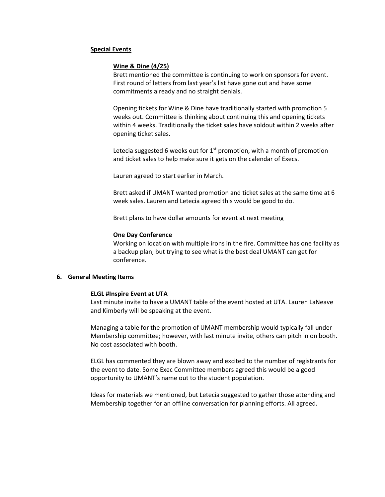## **Special Events**

## **Wine & Dine (4/25)**

Brett mentioned the committee is continuing to work on sponsors for event. First round of letters from last year's list have gone out and have some commitments already and no straight denials.

Opening tickets for Wine & Dine have traditionally started with promotion 5 weeks out. Committee is thinking about continuing this and opening tickets within 4 weeks. Traditionally the ticket sales have soldout within 2 weeks after opening ticket sales.

Letecia suggested 6 weeks out for  $1<sup>st</sup>$  promotion, with a month of promotion and ticket sales to help make sure it gets on the calendar of Execs.

Lauren agreed to start earlier in March.

Brett asked if UMANT wanted promotion and ticket sales at the same time at 6 week sales. Lauren and Letecia agreed this would be good to do.

Brett plans to have dollar amounts for event at next meeting

#### **One Day Conference**

Working on location with multiple irons in the fire. Committee has one facility as a backup plan, but trying to see what is the best deal UMANT can get for conference.

#### **6. General Meeting Items**

#### **ELGL #Inspire Event at UTA**

Last minute invite to have a UMANT table of the event hosted at UTA. Lauren LaNeave and Kimberly will be speaking at the event.

Managing a table for the promotion of UMANT membership would typically fall under Membership committee; however, with last minute invite, others can pitch in on booth. No cost associated with booth.

ELGL has commented they are blown away and excited to the number of registrants for the event to date. Some Exec Committee members agreed this would be a good opportunity to UMANT's name out to the student population.

Ideas for materials we mentioned, but Letecia suggested to gather those attending and Membership together for an offline conversation for planning efforts. All agreed.